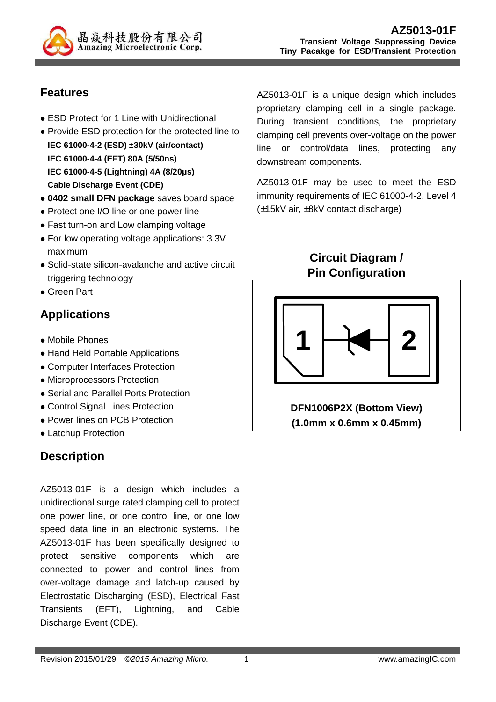

## **Features**

- ESD Protect for 1 Line with Unidirectional
- Provide ESD protection for the protected line to **IEC 61000-4-2 (ESD) ±30kV (air/contact) IEC 61000-4-4 (EFT) 80A (5/50ns) IEC 61000-4-5 (Lightning) 4A (8/20µs) Cable Discharge Event (CDE)**
- **0402 small DFN package** saves board space
- Protect one I/O line or one power line
- Fast turn-on and Low clamping voltage
- For low operating voltage applications: 3.3V maximum
- Solid-state silicon-avalanche and active circuit triggering technology
- Green Part

## **Applications**

- Mobile Phones
- Hand Held Portable Applications
- Computer Interfaces Protection
- Microprocessors Protection
- Serial and Parallel Ports Protection
- Control Signal Lines Protection
- Power lines on PCB Protection
- Latchup Protection

## **Description**

AZ5013-01F is a design which includes a unidirectional surge rated clamping cell to protect one power line, or one control line, or one low speed data line in an electronic systems. The AZ5013-01F has been specifically designed to protect sensitive components which are connected to power and control lines from over-voltage damage and latch-up caused by Electrostatic Discharging (ESD), Electrical Fast Transients (EFT), Lightning, and Cable Discharge Event (CDE).

AZ5013-01F is a unique design which includes proprietary clamping cell in a single package. During transient conditions, the proprietary clamping cell prevents over-voltage on the power line or control/data lines, protecting any downstream components.

AZ5013-01F may be used to meet the ESD immunity requirements of IEC 61000-4-2, Level 4 (±15kV air, ±8kV contact discharge)

> **Circuit Diagram / Pin Configuration**



**DFN1006P2X (Bottom View) (1.0mm x 0.6mm x 0.45mm)**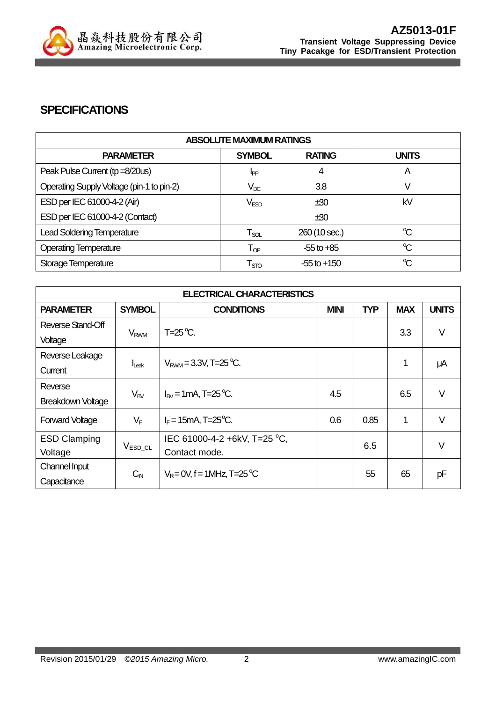

#### **SPECIFICATIONS**

| <b>ABSOLUTE MAXIMUM RATINGS</b>           |                            |                 |                      |
|-------------------------------------------|----------------------------|-----------------|----------------------|
| <b>PARAMETER</b>                          | <b>SYMBOL</b>              | <b>RATING</b>   | <b>UNITS</b>         |
| Peak Pulse Current (tp =8/20us)           | IPP                        | 4               | A                    |
| Operating Supply Voltage (pin-1 to pin-2) | $V_{DC}$                   | 3.8             |                      |
| ESD per IEC 61000-4-2 (Air)               | V <sub>ESD</sub>           | ±30             | kV                   |
| ESD per IEC 61000-4-2 (Contact)           |                            | ±30             |                      |
| <b>Lead Soldering Temperature</b>         | $T_{\rm SOL}$              | 260 (10 sec.)   | $\mathrm{C}$         |
| <b>Operating Temperature</b>              | $\mathsf{T}_{\textsf{QP}}$ | $-55$ to $+85$  | $\mathrm{C}$         |
| Storage Temperature                       | $\mathsf{T}_{\text{STO}}$  | $-55$ to $+150$ | $\mathrm{C}^{\circ}$ |

| <b>ELECTRICAL CHARACTERISTICS</b> |                        |                                             |             |            |            |              |
|-----------------------------------|------------------------|---------------------------------------------|-------------|------------|------------|--------------|
| <b>PARAMETER</b>                  | <b>SYMBOL</b>          | <b>CONDITIONS</b>                           | <b>MINI</b> | <b>TYP</b> | <b>MAX</b> | <b>UNITS</b> |
| Reverse Stand-Off                 | <b>V<sub>RWM</sub></b> | $T=25^{\circ}C$ .                           |             |            | 3.3        | $\vee$       |
| Voltage                           |                        |                                             |             |            |            |              |
| Reverse Leakage                   |                        |                                             |             |            |            |              |
| Current                           | $I_{\text{Leak}}$      | $V_{\text{RWM}} = 3.3V$ , T=25 °C.          |             |            | 1          | μA           |
| Reverse                           |                        |                                             | 4.5         |            | 6.5        | $\vee$       |
| <b>Breakdown Voltage</b>          | $V_{BV}$               | $I_{\text{RV}}$ = 1 mA, T=25 °C.            |             |            |            |              |
| <b>Forward Voltage</b>            | $V_F$                  | $I_F = 15 \text{mA}$ , T=25 <sup>o</sup> C. | 0.6         | 0.85       | 1          | $\vee$       |
| <b>ESD Clamping</b>               |                        | IEC 61000-4-2 +6kV, T=25 °C,                |             | 6.5        |            | V            |
| Voltage                           | $V_{ESD\_CL}$          | Contact mode.                               |             |            |            |              |
| Channel Input                     | $C_{\text{IN}}$        | $V_R = 0V$ , f = 1MHz, T=25 °C              |             | 55         | 65         | pF           |
| Capacitance                       |                        |                                             |             |            |            |              |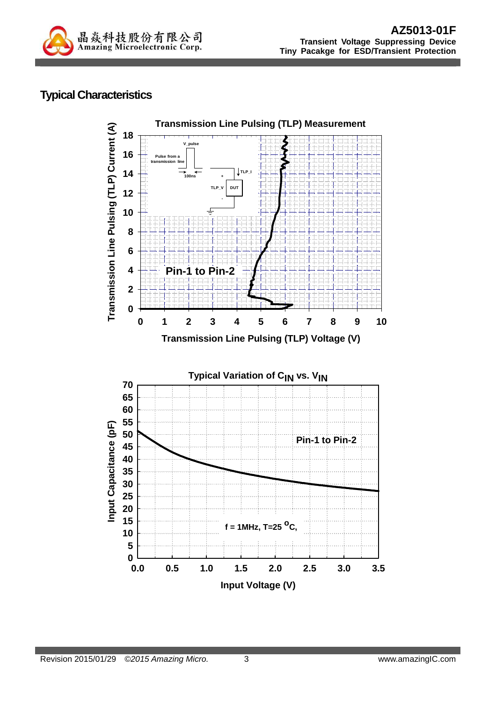

### **Typical Characteristics**

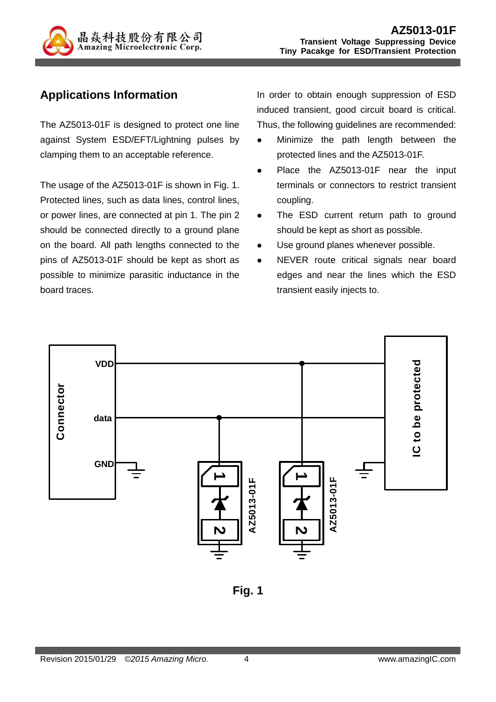

## **Applications Information**

The AZ5013-01F is designed to protect one line against System ESD/EFT/Lightning pulses by clamping them to an acceptable reference.

The usage of the AZ5013-01F is shown in Fig. 1. Protected lines, such as data lines, control lines, or power lines, are connected at pin 1. The pin 2 should be connected directly to a ground plane on the board. All path lengths connected to the pins of AZ5013-01F should be kept as short as possible to minimize parasitic inductance in the board traces.

In order to obtain enough suppression of ESD induced transient, good circuit board is critical. Thus, the following guidelines are recommended:

- Minimize the path length between the protected lines and the AZ5013-01F.
- Place the AZ5013-01F near the input terminals or connectors to restrict transient coupling.
- The ESD current return path to ground should be kept as short as possible.
- Use ground planes whenever possible.
- NEVER route critical signals near board edges and near the lines which the ESD transient easily injects to.



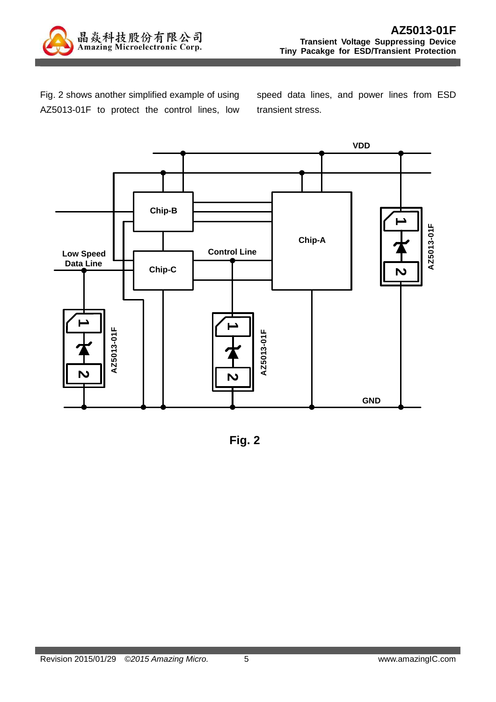

Fig. 2 shows another simplified example of using AZ5013-01F to protect the control lines, low speed data lines, and power lines from ESD transient stress.



**Fig. 2**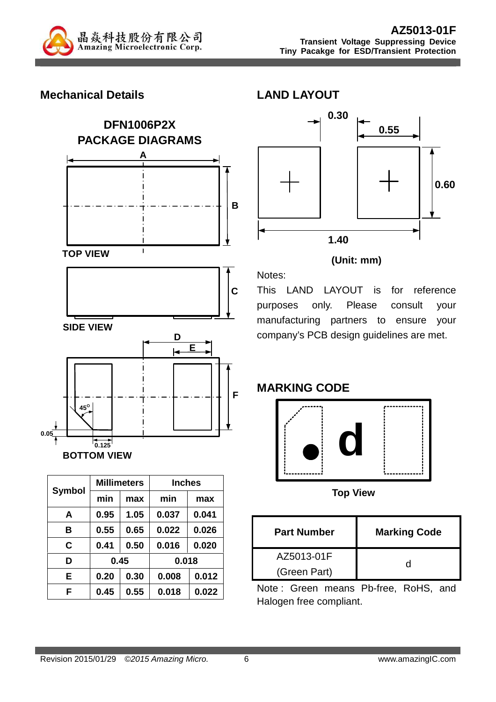

### **Mechanical Details**





|               |      | <b>Millimeters</b> | <b>Inches</b> |       |  |
|---------------|------|--------------------|---------------|-------|--|
| <b>Symbol</b> | min  | max                | min           | max   |  |
| A             | 0.95 | 1.05               | 0.037         | 0.041 |  |
| в             | 0.55 | 0.65               | 0.022         | 0.026 |  |
| C             | 0.41 | 0.50               | 0.016         | 0.020 |  |
| D             | 0.45 |                    | 0.018         |       |  |
| E             | 0.20 | 0.30               | 0.008         | 0.012 |  |
| F             | 0.45 | 0.55               | 0.018         | 0.022 |  |



#### **(Unit: mm)**

This LAND LAYOUT is for reference purposes only. Please consult your manufacturing partners to ensure your company's PCB design guidelines are met.

#### **MARKING CODE**

Notes:



**Top View** 

| <b>Part Number</b> | <b>Marking Code</b> |
|--------------------|---------------------|
| AZ5013-01F         |                     |
| (Green Part)       |                     |

Note : Green means Pb-free, RoHS, and Halogen free compliant.